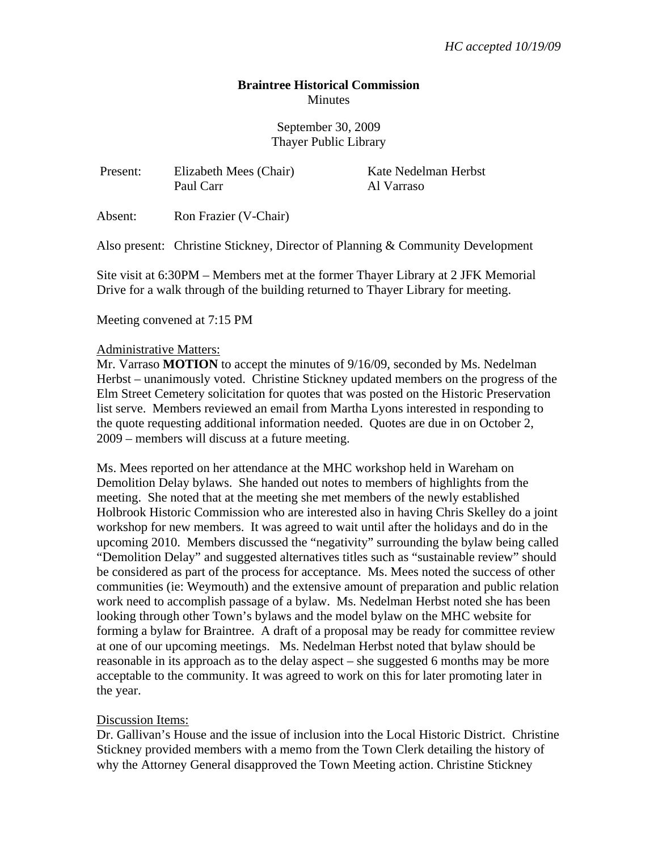## **Braintree Historical Commission Minutes**

September 30, 2009 Thayer Public Library

| Present: | Elizabeth Mees (Chair)<br>Paul Carr | Kate Nedelman Herbst<br>Al Varraso |
|----------|-------------------------------------|------------------------------------|
|          |                                     |                                    |

Absent: Ron Frazier (V-Chair)

Also present: Christine Stickney, Director of Planning & Community Development

Site visit at 6:30PM – Members met at the former Thayer Library at 2 JFK Memorial Drive for a walk through of the building returned to Thayer Library for meeting.

Meeting convened at 7:15 PM

## Administrative Matters:

Mr. Varraso **MOTION** to accept the minutes of 9/16/09, seconded by Ms. Nedelman Herbst – unanimously voted. Christine Stickney updated members on the progress of the Elm Street Cemetery solicitation for quotes that was posted on the Historic Preservation list serve. Members reviewed an email from Martha Lyons interested in responding to the quote requesting additional information needed. Quotes are due in on October 2, 2009 – members will discuss at a future meeting.

Ms. Mees reported on her attendance at the MHC workshop held in Wareham on Demolition Delay bylaws. She handed out notes to members of highlights from the meeting. She noted that at the meeting she met members of the newly established Holbrook Historic Commission who are interested also in having Chris Skelley do a joint workshop for new members. It was agreed to wait until after the holidays and do in the upcoming 2010. Members discussed the "negativity" surrounding the bylaw being called "Demolition Delay" and suggested alternatives titles such as "sustainable review" should be considered as part of the process for acceptance. Ms. Mees noted the success of other communities (ie: Weymouth) and the extensive amount of preparation and public relation work need to accomplish passage of a bylaw. Ms. Nedelman Herbst noted she has been looking through other Town's bylaws and the model bylaw on the MHC website for forming a bylaw for Braintree. A draft of a proposal may be ready for committee review at one of our upcoming meetings. Ms. Nedelman Herbst noted that bylaw should be reasonable in its approach as to the delay aspect – she suggested 6 months may be more acceptable to the community. It was agreed to work on this for later promoting later in the year.

## Discussion Items:

Dr. Gallivan's House and the issue of inclusion into the Local Historic District. Christine Stickney provided members with a memo from the Town Clerk detailing the history of why the Attorney General disapproved the Town Meeting action. Christine Stickney